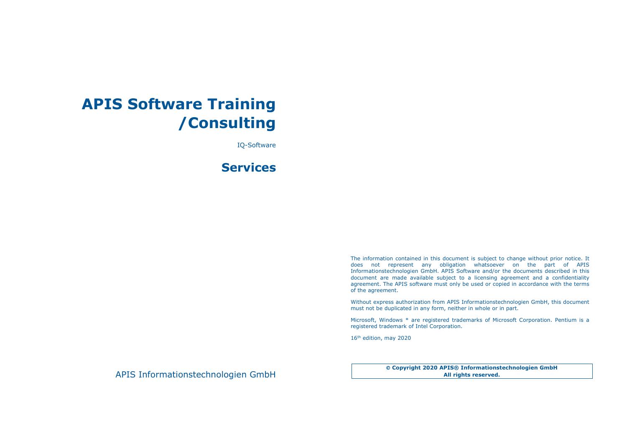## **APIS Software Training /Consulting**

IQ-Software

### **Services**

The information contained in this document is subject to change without prior notice. It does not represent any obligation whatsoever on the part of APIS Informationstechnologien GmbH. APIS Software and/or the documents described in this document are made available subject to a licensing agreement and a confidentiality agreement. The APIS software must only be used or copied in accordance with the terms of the agreement.

Without express authorization from APIS Informationstechnologien GmbH, this document must not be duplicated in any form, neither in whole or in part.

Microsoft, Windows \* are registered trademarks of Microsoft Corporation. Pentium is a registered trademark of Intel Corporation.

16<sup>th</sup> edition, may 2020

APIS Informationstechnologien GmbH

 **Copyright 2020 APIS® Informationstechnologien GmbH All rights reserved.**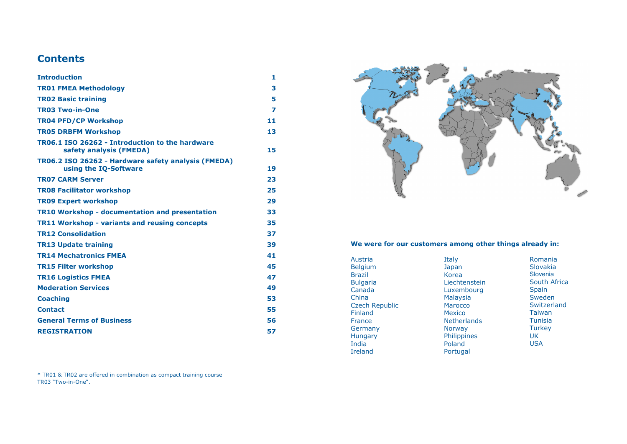### **Contents**

| <b>Introduction</b>                                                          | 1  |
|------------------------------------------------------------------------------|----|
| <b>TR01 FMEA Methodology</b>                                                 | 3  |
| <b>TR02 Basic training</b>                                                   | 5  |
| <b>TR03 Two-in-One</b>                                                       | 7  |
| <b>TR04 PFD/CP Workshop</b>                                                  | 11 |
| <b>TR05 DRBFM Workshop</b>                                                   | 13 |
| TR06.1 ISO 26262 - Introduction to the hardware<br>safety analysis (FMEDA)   | 15 |
| TR06.2 ISO 26262 - Hardware safety analysis (FMEDA)<br>using the IQ-Software | 19 |
| <b>TR07 CARM Server</b>                                                      | 23 |
| <b>TR08 Facilitator workshop</b>                                             | 25 |
| <b>TR09 Expert workshop</b>                                                  | 29 |
| <b>TR10 Workshop - documentation and presentation</b>                        | 33 |
| <b>TR11 Workshop - variants and reusing concepts</b>                         | 35 |
| <b>TR12 Consolidation</b>                                                    | 37 |
| <b>TR13 Update training</b>                                                  | 39 |
| <b>TR14 Mechatronics FMEA</b>                                                | 41 |
| <b>TR15 Filter workshop</b>                                                  | 45 |
| <b>TR16 Logistics FMEA</b>                                                   | 47 |
| <b>Moderation Services</b>                                                   | 49 |
| <b>Coaching</b>                                                              | 53 |
| <b>Contact</b>                                                               | 55 |
| <b>General Terms of Business</b>                                             | 56 |
| <b>REGISTRATION</b>                                                          | 57 |

\* TR01 & TR02 are offered in combination as compact training course TR03 "Two-in-One".



#### **We were for our customers among other things already in:**

| Austria               | Italy              | Romania         |
|-----------------------|--------------------|-----------------|
| <b>Belgium</b>        | Japan              | <b>Slovakia</b> |
| <b>Brazil</b>         | Korea              | Slovenia        |
| <b>Bulgaria</b>       | Liechtenstein      | South Africa    |
| Canada                | Luxembourg         | <b>Spain</b>    |
| China                 | <b>Malaysia</b>    | Sweden          |
| <b>Czech Republic</b> | Marocco            | Switzerland     |
| <b>Finland</b>        | <b>Mexico</b>      | Taiwan          |
| France                | <b>Netherlands</b> | <b>Tunisia</b>  |
| Germany               | <b>Norway</b>      | <b>Turkey</b>   |
| <b>Hungary</b>        | Philippines        | UK              |
| India                 | Poland             | <b>USA</b>      |
| <b>Ireland</b>        | Portugal           |                 |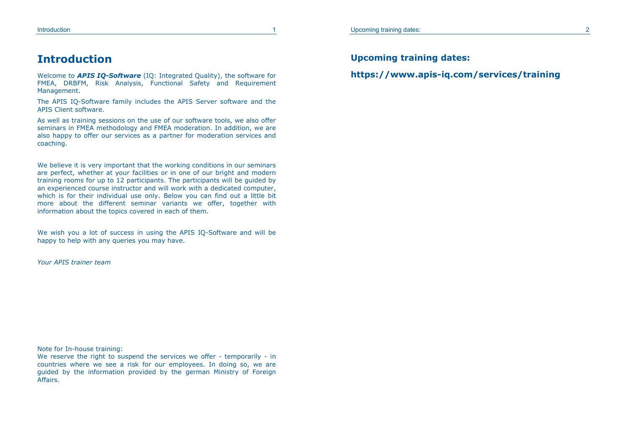### **Introduction**

Welcome to *APIS IQ-Software* (IQ: Integrated Quality), the software for FMEA, DRBFM, Risk Analysis, Functional Safety and Requirement Management.

The APIS IQ-Software family includes the APIS Server software and the APIS Client software.

As well as training sessions on the use of our software tools, we also offer seminars in FMEA methodology and FMEA moderation. In addition, we are also happy to offer our services as a partner for moderation services and coaching.

We believe it is very important that the working conditions in our seminars are perfect, whether at your facilities or in one of our bright and modern training rooms for up to 12 participants. The participants will be guided by an experienced course instructor and will work with a dedicated computer, which is for their individual use only. Below you can find out a little bit more about the different seminar variants we offer, together with information about the topics covered in each of them.

We wish you a lot of success in using the APIS IQ-Software and will be happy to help with any queries you may have.

*Your APIS trainer team*

Note for In-house training:

We reserve the right to suspend the services we offer - temporarily - in countries where we see a risk for our employees. In doing so, we are guided by the information provided by the german Ministry of Foreign Affairs.

**Upcoming training dates:** 

**https://www.apis-iq.com/services/training**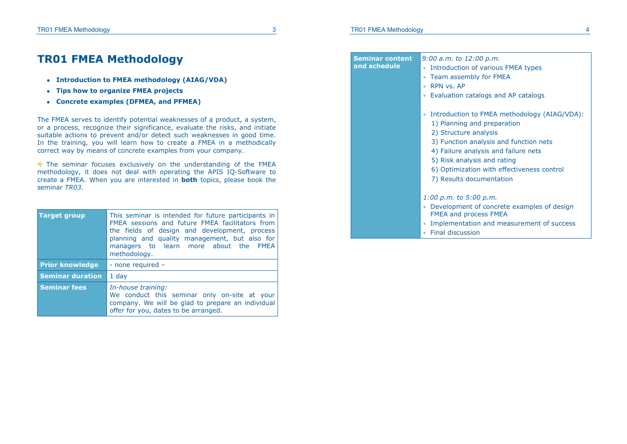### **TR01 FMEA Methodology**

- **Introduction to FMEA methodology (AIAG/VDA)**
- **Tips how to organize FMEA projects**
- **Concrete examples (DFMEA, and PFMEA)**

The FMEA serves to identify potential weaknesses of a product, a system, or a process, recognize their significance, evaluate the risks, and initiate suitable actions to prevent and/or detect such weaknesses in good time. In the training, you will learn how to create a FMEA in a methodically correct way by means of concrete examples from your company.

 The seminar focuses exclusively on the understanding of the FMEA methodology, it does not deal with operating the APIS IQ-Software to create a FMEA. When you are interested in **both** topics, please book the seminar *TR03*.

| <b>Target group</b>     | This seminar is intended for future participants in<br>FMEA sessions and future FMEA facilitators from<br>the fields of design and development, process<br>planning and quality management, but also for<br>managers to learn more about the FMEA<br>methodology. |  |  |
|-------------------------|-------------------------------------------------------------------------------------------------------------------------------------------------------------------------------------------------------------------------------------------------------------------|--|--|
| <b>Prior knowledge</b>  | - none required -                                                                                                                                                                                                                                                 |  |  |
| <b>Seminar duration</b> | $1$ day                                                                                                                                                                                                                                                           |  |  |
| <b>Seminar fees</b>     | In-house training:<br>We conduct this seminar only on-site at your<br>company. We will be glad to prepare an individual<br>offer for you, dates to be arranged.                                                                                                   |  |  |

| <b>Seminar content</b><br>and schedule | $9:00$ a.m. to $12:00$ p.m.<br>Introduction of various FMEA types<br>Team assembly for FMEA<br>RPN vs. AP<br>Evaluation catalogs and AP catalogs                                                                                                                                                |
|----------------------------------------|-------------------------------------------------------------------------------------------------------------------------------------------------------------------------------------------------------------------------------------------------------------------------------------------------|
|                                        | Introduction to FMEA methodology (AIAG/VDA):<br>1) Planning and preparation<br>2) Structure analysis<br>3) Function analysis and function nets<br>4) Failure analysis and failure nets<br>5) Risk analysis and rating<br>6) Optimization with effectiveness control<br>7) Results documentation |
|                                        | $1:00$ p.m. to 5:00 p.m.<br>• Development of concrete examples of design<br><b>FMEA and process FMEA</b><br>Implementation and measurement of success<br>Final discussion                                                                                                                       |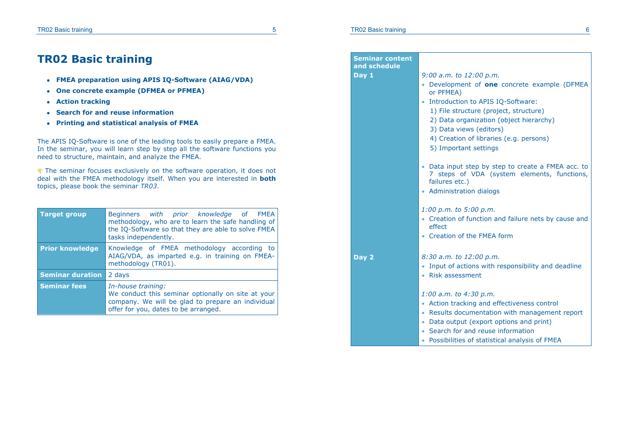## **TR02 Basic training**

- **FMEA preparation using APIS IQ-Software (AIAG/VDA)**
- **One concrete example (DFMEA or PFMEA)**
- **Action tracking**
- **Search for and reuse information**
- **Printing and statistical analysis of FMEA**

The APIS IQ-Software is one of the leading tools to easily prepare a FMEA. In the seminar, you will learn step by step all the software functions you need to structure, maintain, and analyze the FMEA.

 The seminar focuses exclusively on the software operation, it does not deal with the FMEA methodology itself. When you are interested in **both** topics, please book the seminar *TR03*.

| <b>Target group</b>     | Beginners with prior knowledge of FMEA<br>methodology, who are to learn the safe handling of<br>the IQ-Software so that they are able to solve FMEA<br>tasks independently. |
|-------------------------|-----------------------------------------------------------------------------------------------------------------------------------------------------------------------------|
| <b>Prior knowledge</b>  | Knowledge of FMEA methodology according to<br>AIAG/VDA, as imparted e.g. in training on FMEA-<br>methodology (TR01).                                                        |
| <b>Seminar duration</b> | 2 days                                                                                                                                                                      |
| <b>Seminar fees</b>     | In-house training:<br>We conduct this seminar optionally on site at your<br>company. We will be glad to prepare an individual<br>offer for you, dates to be arranged.       |

| <b>Seminar content</b><br>and schedule |                                                                                                                                   |
|----------------------------------------|-----------------------------------------------------------------------------------------------------------------------------------|
| Day 1                                  | $9:00$ a.m. to $12:00$ p.m.                                                                                                       |
|                                        | • Development of one concrete example (DFMEA                                                                                      |
|                                        | or PFMEA)                                                                                                                         |
|                                        | Introduction to APIS IQ-Software:                                                                                                 |
|                                        | 1) File structure (project, structure)                                                                                            |
|                                        | 2) Data organization (object hierarchy)                                                                                           |
|                                        | 3) Data views (editors)                                                                                                           |
|                                        | 4) Creation of libraries (e.g. persons)                                                                                           |
|                                        | 5) Important settings                                                                                                             |
|                                        |                                                                                                                                   |
|                                        | Data input step by step to create a FMEA acc. to<br>steps of VDA (system elements, functions,<br>7 <sup>1</sup><br>failures etc.) |
|                                        | • Administration dialogs                                                                                                          |
|                                        |                                                                                                                                   |
|                                        | $1:00$ p.m. to 5:00 p.m.                                                                                                          |
|                                        | • Creation of function and failure nets by cause and<br>effect                                                                    |
|                                        | • Creation of the FMEA form                                                                                                       |
|                                        |                                                                                                                                   |
| Day 2                                  | 8:30 a.m. to 12:00 p.m.                                                                                                           |
|                                        | Input of actions with responsibility and deadline                                                                                 |
|                                        | • Risk assessment                                                                                                                 |
|                                        |                                                                                                                                   |
|                                        | $1:00$ a.m. to $4:30$ p.m.                                                                                                        |
|                                        | • Action tracking and effectiveness control                                                                                       |
|                                        | • Results documentation with management report                                                                                    |
|                                        | Data output (export options and print)<br>$\bullet$                                                                               |
|                                        | Search for and reuse information                                                                                                  |
|                                        | Possibilities of statistical analysis of FMEA                                                                                     |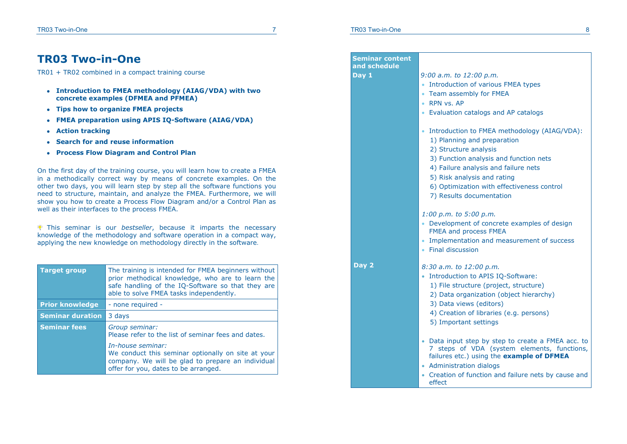### **TR03 Two-in-One**

TR01 + TR02 combined in a compact training course

- **Introduction to FMEA methodology (AIAG/VDA) with two concrete examples (DFMEA and PFMEA)**
- **Tips how to organize FMEA projects**
- **FMEA preparation using APIS IQ-Software (AIAG/VDA)**
- **Action tracking**
- **Search for and reuse information**
- **Process Flow Diagram and Control Plan**

On the first day of the training course, you will learn how to create a FMEA in a methodically correct way by means of concrete examples. On the other two days, you will learn step by step all the software functions you need to structure, maintain, and analyze the FMEA. Furthermore, we will show you how to create a Process Flow Diagram and/or a Control Plan as well as their interfaces to the process FMEA.

This seminar is our *bestseller*, because it imparts the necessary knowledge of the methodology and software operation in a compact way, applying the new knowledge on methodology directly in the software.

| <b>Target group</b>     | The training is intended for FMEA beginners without<br>prior methodical knowledge, who are to learn the<br>safe handling of the IQ-Software so that they are<br>able to solve FMEA tasks independently. |
|-------------------------|---------------------------------------------------------------------------------------------------------------------------------------------------------------------------------------------------------|
| <b>Prior knowledge</b>  | - none required -                                                                                                                                                                                       |
| <b>Seminar duration</b> | 3 days                                                                                                                                                                                                  |
| <b>Seminar fees</b>     | Group seminar:<br>Please refer to the list of seminar fees and dates.                                                                                                                                   |
|                         | In-house seminar:<br>We conduct this seminar optionally on site at your<br>company. We will be glad to prepare an individual<br>offer for you, dates to be arranged.                                    |

| Seminar content<br>and schedule |                                                                                                                                                                                                                                                                                                              |
|---------------------------------|--------------------------------------------------------------------------------------------------------------------------------------------------------------------------------------------------------------------------------------------------------------------------------------------------------------|
| Day 1                           | $9:00$ a.m. to $12:00$ p.m.<br>Introduction of various FMEA types<br>• Team assembly for FMEA<br>• RPN vs. AP<br>• Evaluation catalogs and AP catalogs                                                                                                                                                       |
|                                 | Introduction to FMEA methodology (AIAG/VDA):<br>$\bullet$<br>1) Planning and preparation<br>2) Structure analysis<br>3) Function analysis and function nets<br>4) Failure analysis and failure nets<br>5) Risk analysis and rating<br>6) Optimization with effectiveness control<br>7) Results documentation |
|                                 | $1:00$ p.m. to 5:00 p.m.<br>• Development of concrete examples of design<br>FMEA and process FMEA<br>• Implementation and measurement of success<br>• Final discussion                                                                                                                                       |
| Day 2                           | 8:30 a.m. to 12:00 p.m.<br>• Introduction to APIS IQ-Software:<br>1) File structure (project, structure)<br>2) Data organization (object hierarchy)<br>3) Data views (editors)<br>4) Creation of libraries (e.g. persons)<br>5) Important settings                                                           |
|                                 | • Data input step by step to create a FMEA acc. to<br>7 steps of VDA (system elements, functions,<br>failures etc.) using the example of DFMEA<br>• Administration dialogs<br>• Creation of function and failure nets by cause and<br>effect                                                                 |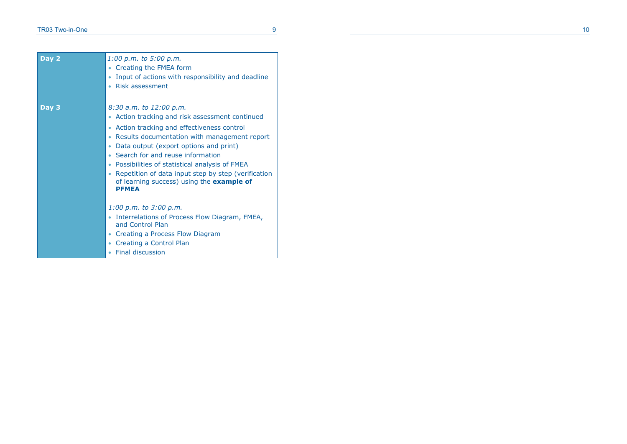| Day 2 | $1:00$ p.m. to 5:00 p.m.<br>Creating the FMEA form<br>Input of actions with responsibility and deadline<br><b>Risk assessment</b>                                                                                                                                                                                                                                                                                               |
|-------|---------------------------------------------------------------------------------------------------------------------------------------------------------------------------------------------------------------------------------------------------------------------------------------------------------------------------------------------------------------------------------------------------------------------------------|
| Day 3 | 8:30 a.m. to 12:00 p.m.<br>Action tracking and risk assessment continued<br>Action tracking and effectiveness control<br>Results documentation with management report<br>Data output (export options and print)<br>Search for and reuse information<br>Possibilities of statistical analysis of FMEA<br>Repetition of data input step by step (verification<br>of learning success) using the <b>example of</b><br><b>PFMEA</b> |
|       | $1:00$ p.m. to $3:00$ p.m.<br>Interrelations of Process Flow Diagram, FMEA,<br>and Control Plan<br>Creating a Process Flow Diagram<br>Creating a Control Plan<br>Final discussion<br>٠                                                                                                                                                                                                                                          |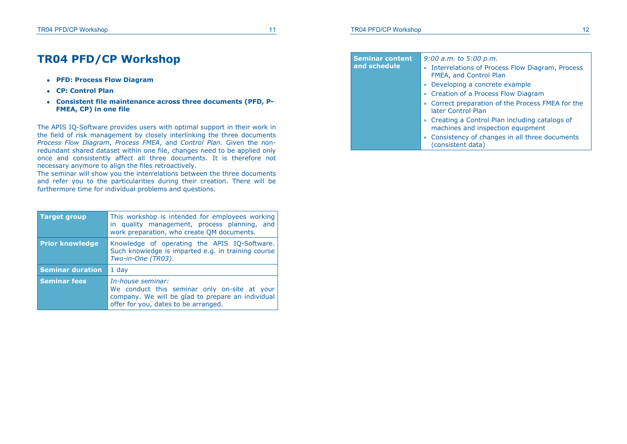### **TR04 PFD/CP Workshop**

- **PFD: Process Flow Diagram**
- **CP: Control Plan**
- **Consistent file maintenance across three documents (PFD, P-FMEA, CP) in one file**

The APIS IQ-Software provides users with optimal support in their work in the field of risk management by closely interlinking the three documents *Process Flow Diagram*, *Process FMEA*, and *Control Plan*. Given the nonredundant shared dataset within one file, changes need to be applied only once and consistently affect all three documents. It is therefore not necessary anymore to align the files retroactively.

The seminar will show you the interrelations between the three documents and refer you to the particularities during their creation. There will be furthermore time for individual problems and questions.

| <b>Target group</b>     | This workshop is intended for employees working<br>in quality management, process planning, and<br>work preparation, who create QM documents.                  |
|-------------------------|----------------------------------------------------------------------------------------------------------------------------------------------------------------|
| <b>Prior knowledge</b>  | Knowledge of operating the APIS IQ-Software.<br>Such knowledge is imparted e.g. in training course<br>Two-in-One (TR03).                                       |
| <b>Seminar duration</b> | $1$ day                                                                                                                                                        |
| <b>Seminar fees</b>     | In-house seminar:<br>We conduct this seminar only on-site at your<br>company. We will be glad to prepare an individual<br>offer for you, dates to be arranged. |

**Seminar content and schedule**  *9:00 a.m. to 5:00 p.m.* • Interrelations of Process Flow Diagram, Process FMEA, and Control Plan Developing a concrete example Creation of a Process Flow Diagram Correct preparation of the Process FMEA for the later Control Plan Creating a Control Plan including catalogs of machines and inspection equipment

 Consistency of changes in all three documents (consistent data)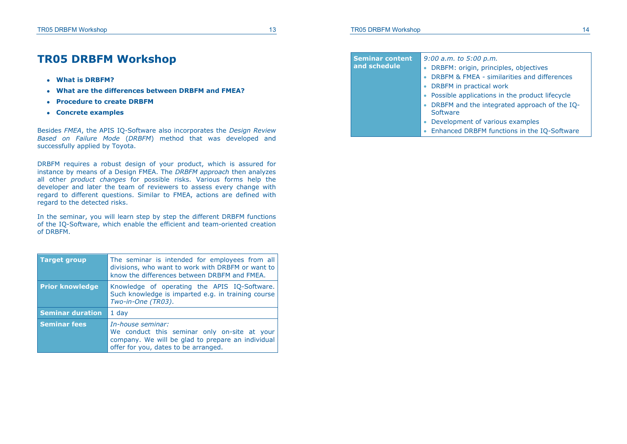### **TR05 DRBFM Workshop**

- **What is DRBFM?**
- **What are the differences between DRBFM and FMEA?**
- **Procedure to create DRBFM**
- **Concrete examples**

Besides *FMEA*, the APIS IQ-Software also incorporates the *Design Review Based on Failure Mode* (*DRBFM*) method that was developed and successfully applied by Toyota.

DRBFM requires a robust design of your product, which is assured for instance by means of a Design FMEA. The *DRBFM approach* then analyzes all other *product changes* for possible risks. Various forms help the developer and later the team of reviewers to assess every change with regard to different questions. Similar to FMEA, actions are defined with regard to the detected risks.

In the seminar, you will learn step by step the different DRBFM functions of the IQ-Software, which enable the efficient and team-oriented creation of DRBFM.

| <b>Target group</b>     | The seminar is intended for employees from all<br>divisions, who want to work with DRBFM or want to<br>know the differences between DRBFM and FMEA.            |
|-------------------------|----------------------------------------------------------------------------------------------------------------------------------------------------------------|
| <b>Prior knowledge</b>  | Knowledge of operating the APIS IQ-Software.<br>Such knowledge is imparted e.g. in training course<br>Two-in-One (TR03).                                       |
| <b>Seminar duration</b> | $1$ day                                                                                                                                                        |
| <b>Seminar fees</b>     | In-house seminar:<br>We conduct this seminar only on-site at your<br>company. We will be glad to prepare an individual<br>offer for you, dates to be arranged. |

#### **Seminar content and schedule**  *9:00 a.m. to 5:00 p.m.* • DRBFM: origin, principles, objectives DRBFM & FMEA - similarities and differences

- DRBFM in practical work
- Possible applications in the product lifecycle
- DRBFM and the integrated approach of the IQ-Software
- Development of various examples
- Enhanced DRBFM functions in the IQ-Software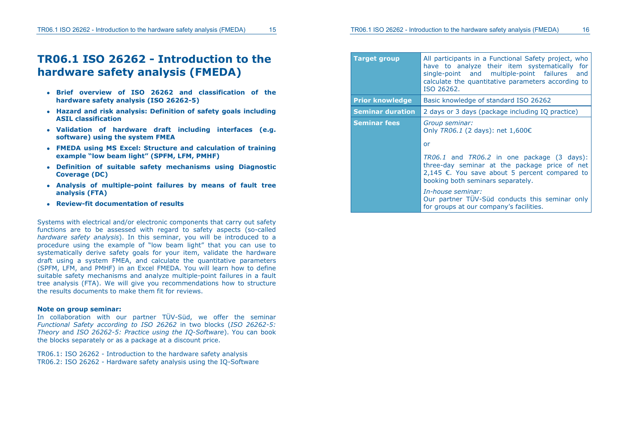### **TR06.1 ISO 26262 - Introduction to the hardware safety analysis (FMEDA)**

- **Brief overview of ISO 26262 and classification of the hardware safety analysis (ISO 26262-5)**
- **Hazard and risk analysis: Definition of safety goals including ASIL classification**
- **Validation of hardware draft including interfaces (e.g. software) using the system FMEA**
- **FMEDA using MS Excel: Structure and calculation of training example "low beam light" (SPFM, LFM, PMHF)**
- **Definition of suitable safety mechanisms using Diagnostic Coverage (DC)**
- **Analysis of multiple-point failures by means of fault tree analysis (FTA)**
- **Review-fit documentation of results**

Systems with electrical and/or electronic components that carry out safety functions are to be assessed with regard to safety aspects (so-called *hardware safety analysis*). In this seminar, you will be introduced to a procedure using the example of "low beam light" that you can use to systematically derive safety goals for your item, validate the hardware draft using a system FMEA, and calculate the quantitative parameters (SPFM, LFM, and PMHF) in an Excel FMEDA. You will learn how to define suitable safety mechanisms and analyze multiple-point failures in a fault tree analysis (FTA). We will give you recommendations how to structure the results documents to make them fit for reviews.

#### **Note on group seminar:**

In collaboration with our partner TÜV-Süd, we offer the seminar *Functional Safety according to ISO 26262* in two blocks (*ISO 26262-5: Theory* and *ISO 26262-5: Practice using the IQ-Software*). You can book the blocks separately or as a package at a discount price.

TR06.1: ISO 26262 - Introduction to the hardware safety analysis TR06.2: ISO 26262 - Hardware safety analysis using the IQ-Software

| <b>Target group</b>     | All participants in a Functional Safety project, who<br>have to analyze their item systematically for<br>single-point and multiple-point failures<br>and<br>calculate the quantitative parameters according to<br>ISO 26262.                                                                                                                                    |
|-------------------------|-----------------------------------------------------------------------------------------------------------------------------------------------------------------------------------------------------------------------------------------------------------------------------------------------------------------------------------------------------------------|
| <b>Prior knowledge</b>  | Basic knowledge of standard ISO 26262                                                                                                                                                                                                                                                                                                                           |
| <b>Seminar duration</b> | 2 days or 3 days (package including IQ practice)                                                                                                                                                                                                                                                                                                                |
| <b>Seminar fees</b>     | Group seminar:<br>Only TR06.1 (2 days): net 1,600€<br>or<br>TR06.1 and TR06.2 in one package (3 days):<br>three-day seminar at the package price of net<br>2,145 €. You save about 5 percent compared to<br>booking both seminars separately.<br>In-house seminar:<br>Our partner TÜV-Süd conducts this seminar only<br>for groups at our company's facilities. |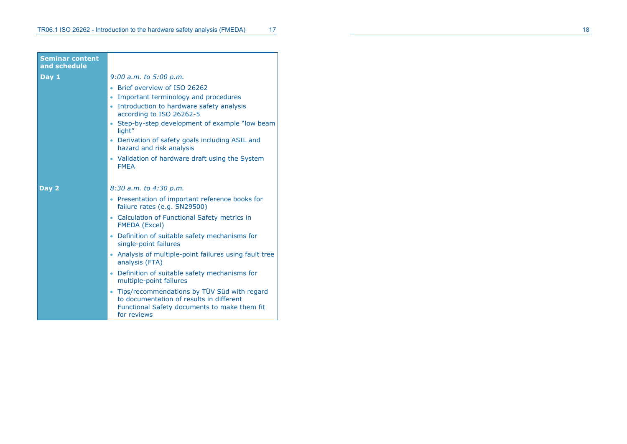| <b>Seminar content</b><br>and schedule |                                                                                                                                                                                                                                                                                                       |
|----------------------------------------|-------------------------------------------------------------------------------------------------------------------------------------------------------------------------------------------------------------------------------------------------------------------------------------------------------|
| Day $1$                                | $9:00$ a.m. to $5:00$ p.m.                                                                                                                                                                                                                                                                            |
|                                        | Brief overview of ISO 26262<br>Important terminology and procedures<br>$\bullet$<br>• Introduction to hardware safety analysis<br>according to ISO 26262-5<br>Step-by-step development of example "low beam"<br>light"<br>• Derivation of safety goals including ASIL and<br>hazard and risk analysis |
|                                        | • Validation of hardware draft using the System<br><b>FMEA</b>                                                                                                                                                                                                                                        |
| Day 2                                  | 8:30 a.m. to 4:30 p.m.                                                                                                                                                                                                                                                                                |
|                                        | • Presentation of important reference books for<br>failure rates (e.g. SN29500)                                                                                                                                                                                                                       |
|                                        | • Calculation of Functional Safety metrics in<br><b>FMEDA</b> (Excel)                                                                                                                                                                                                                                 |
|                                        | Definition of suitable safety mechanisms for<br>single-point failures                                                                                                                                                                                                                                 |
|                                        | Analysis of multiple-point failures using fault tree<br>۰<br>analysis (FTA)                                                                                                                                                                                                                           |
|                                        | Definition of suitable safety mechanisms for<br>$\bullet$<br>multiple-point failures                                                                                                                                                                                                                  |
|                                        | • Tips/recommendations by TÜV Süd with regard<br>to documentation of results in different<br>Functional Safety documents to make them fit<br>for reviews                                                                                                                                              |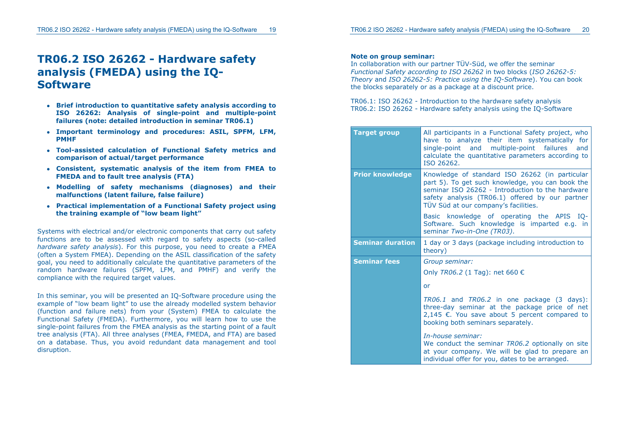### **TR06.2 ISO 26262 - Hardware safety analysis (FMEDA) using the IQ-Software**

- **Brief introduction to quantitative safety analysis according to ISO 26262: Analysis of single-point and multiple-point failures (note: detailed introduction in seminar TR06.1)**
- **Important terminology and procedures: ASIL, SPFM, LFM, PMHF**
- **Tool-assisted calculation of Functional Safety metrics and comparison of actual/target performance**
- **Consistent, systematic analysis of the item from FMEA to FMEDA and to fault tree analysis (FTA)**
- **Modelling of safety mechanisms (diagnoses) and their malfunctions (latent failure, false failure)**
- **Practical implementation of a Functional Safety project using the training example of "low beam light"**

Systems with electrical and/or electronic components that carry out safety functions are to be assessed with regard to safety aspects (so-called *hardware safety analysis*). For this purpose, you need to create a FMEA (often a System FMEA). Depending on the ASIL classification of the safety goal, you need to additionally calculate the quantitative parameters of the random hardware failures (SPFM, LFM, and PMHF) and verify the compliance with the required target values.

In this seminar, you will be presented an IQ-Software procedure using the example of "low beam light" to use the already modelled system behavior (function and failure nets) from your (System) FMEA to calculate the Functional Safety (FMEDA). Furthermore, you will learn how to use the single-point failures from the FMEA analysis as the starting point of a fault tree analysis (FTA). All three analyses (FMEA, FMEDA, and FTA) are based on a database. Thus, you avoid redundant data management and tool disruption.

#### **Note on group seminar:**

In collaboration with our partner TÜV-Süd, we offer the seminar *Functional Safety according to ISO 26262* in two blocks (*ISO 26262-5: Theory* and *ISO 26262-5: Practice using the IQ-Software*). You can book the blocks separately or as a package at a discount price.

TR06.1: ISO 26262 - Introduction to the hardware safety analysis TR06.2: ISO 26262 - Hardware safety analysis using the IQ-Software

| <b>Target group</b>     | All participants in a Functional Safety project, who<br>have to analyze their item systematically for<br>single-point and multiple-point failures and<br>calculate the quantitative parameters according to<br>ISO 26262.                         |
|-------------------------|---------------------------------------------------------------------------------------------------------------------------------------------------------------------------------------------------------------------------------------------------|
| <b>Prior knowledge</b>  | Knowledge of standard ISO 26262 (in particular<br>part 5). To get such knowledge, you can book the<br>seminar ISO 26262 - Introduction to the hardware<br>safety analysis (TR06.1) offered by our partner<br>TÜV Süd at our company's facilities. |
|                         | Basic knowledge of operating the APIS IQ-<br>Software. Such knowledge is imparted e.g. in<br>seminar Two-in-One (TR03).                                                                                                                           |
| <b>Seminar duration</b> | 1 day or 3 days (package including introduction to<br>theory)                                                                                                                                                                                     |
| <b>Seminar fees</b>     | Group seminar:                                                                                                                                                                                                                                    |
|                         | Only <i>TR06.2</i> (1 Tag): net 660 €                                                                                                                                                                                                             |
|                         | or                                                                                                                                                                                                                                                |
|                         | TR06.1 and TR06.2 in one package (3 days):<br>three-day seminar at the package price of net<br>2,145 €. You save about 5 percent compared to<br>booking both seminars separately.                                                                 |
|                         | In-house seminar:<br>We conduct the seminar TR06.2 optionally on site<br>at your company. We will be glad to prepare an<br>individual offer for you, dates to be arranged.                                                                        |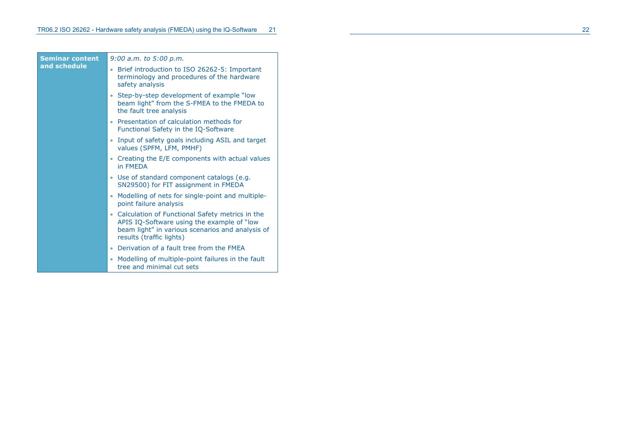**Semi and s** 

| nar content | $9:00$ a.m. to $5:00$ p.m.                                                                                                                                                         |  |
|-------------|------------------------------------------------------------------------------------------------------------------------------------------------------------------------------------|--|
| schedule    | Brief introduction to ISO 26262-5: Important<br>terminology and procedures of the hardware<br>safety analysis                                                                      |  |
|             | Step-by-step development of example "low"<br>beam light" from the S-FMEA to the FMEDA to<br>the fault tree analysis                                                                |  |
|             | Presentation of calculation methods for<br>٠<br>Functional Safety in the IQ-Software                                                                                               |  |
|             | Input of safety goals including ASIL and target<br>values (SPFM, LFM, PMHF)                                                                                                        |  |
|             | • Creating the E/E components with actual values<br>in FMFDA                                                                                                                       |  |
|             | Use of standard component catalogs (e.g.<br>SN29500) for FIT assignment in FMEDA                                                                                                   |  |
|             | Modelling of nets for single-point and multiple-<br>point failure analysis                                                                                                         |  |
|             | Calculation of Functional Safety metrics in the<br>٠<br>APIS IQ-Software using the example of "low<br>beam light" in various scenarios and analysis of<br>results (traffic lights) |  |
|             | Derivation of a fault tree from the FMEA<br>٠                                                                                                                                      |  |
|             | Modelling of multiple-point failures in the fault<br>tree and minimal cut sets                                                                                                     |  |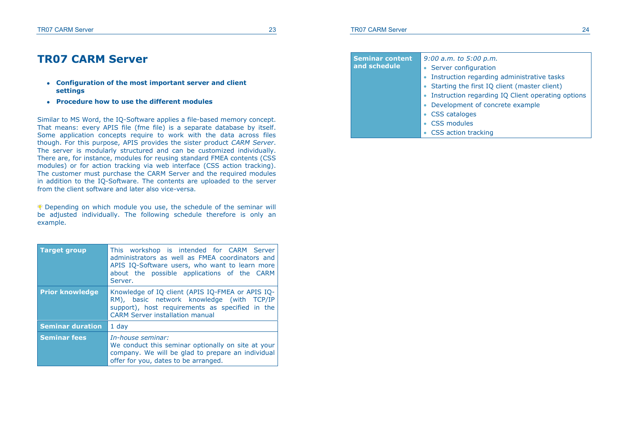#### **TR07 CARM Server 23**

### **TR07 CARM Server**

- **Configuration of the most important server and client settings**
- **Procedure how to use the different modules**

Similar to MS Word, the IQ-Software applies a file-based memory concept. That means: every APIS file (fme file) is a separate database by itself. Some application concepts require to work with the data across files though. For this purpose, APIS provides the sister product *CARM Server*. The server is modularly structured and can be customized individually. There are, for instance, modules for reusing standard FMEA contents (CSS modules) or for action tracking via web interface (CSS action tracking). The customer must purchase the CARM Server and the required modules in addition to the IQ-Software. The contents are uploaded to the server from the client software and later also vice-versa.

Depending on which module you use, the schedule of the seminar will be adjusted individually. The following schedule therefore is only an example.

| <b>Target group</b>                                                                                                                                                                         | This workshop is intended for CARM Server<br>administrators as well as FMEA coordinators and<br>APIS IQ-Software users, who want to learn more<br>about the possible applications of the CARM<br>Server. |
|---------------------------------------------------------------------------------------------------------------------------------------------------------------------------------------------|----------------------------------------------------------------------------------------------------------------------------------------------------------------------------------------------------------|
| <b>Prior knowledge</b>                                                                                                                                                                      | Knowledge of IQ client (APIS IQ-FMEA or APIS IQ-<br>RM), basic network knowledge (with TCP/IP<br>support), host requirements as specified in the<br><b>CARM Server installation manual</b>               |
| <b>Seminar duration</b><br>$1$ day                                                                                                                                                          |                                                                                                                                                                                                          |
| In-house seminar:<br><b>Seminar fees</b><br>We conduct this seminar optionally on site at your<br>company. We will be glad to prepare an individual<br>offer for you, dates to be arranged. |                                                                                                                                                                                                          |

#### **Seminar content and schedule**  *9:00 a.m. to 5:00 p.m.*  • Server configuration • Instruction regarding administrative tasks • Starting the first IO client (master client) • Instruction regarding IQ Client operating options Development of concrete example

- CSS cataloges
- CSS modules
- CSS action tracking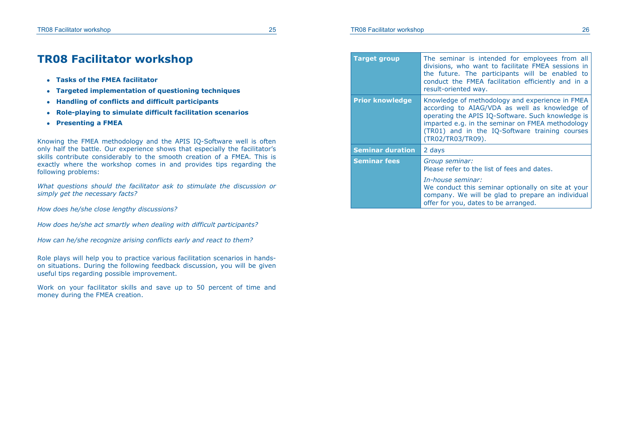### **TR08 Facilitator workshop**

- **Tasks of the FMEA facilitator**
- **Targeted implementation of questioning techniques**
- **Handling of conflicts and difficult participants**
- **Role-playing to simulate difficult facilitation scenarios**
- **Presenting a FMEA**

Knowing the FMEA methodology and the APIS IQ-Software well is often only half the battle. Our experience shows that especially the facilitator's skills contribute considerably to the smooth creation of a FMEA. This is exactly where the workshop comes in and provides tips regarding the following problems:

*What questions should the facilitator ask to stimulate the discussion or simply get the necessary facts?* 

*How does he/she close lengthy discussions?* 

*How does he/she act smartly when dealing with difficult participants?* 

*How can he/she recognize arising conflicts early and react to them?* 

Role plays will help you to practice various facilitation scenarios in handson situations. During the following feedback discussion, you will be given useful tips regarding possible improvement.

Work on your facilitator skills and save up to 50 percent of time and money during the FMEA creation.

| <b>Target group</b>     | The seminar is intended for employees from all<br>divisions, who want to facilitate FMEA sessions in<br>the future. The participants will be enabled to<br>conduct the FMEA facilitation efficiently and in a<br>result-oriented way.                                            |
|-------------------------|----------------------------------------------------------------------------------------------------------------------------------------------------------------------------------------------------------------------------------------------------------------------------------|
| <b>Prior knowledge</b>  | Knowledge of methodology and experience in FMEA<br>according to AIAG/VDA as well as knowledge of<br>operating the APIS IQ-Software. Such knowledge is<br>imparted e.g. in the seminar on FMEA methodology<br>(TR01) and in the IQ-Software training courses<br>(TR02/TR03/TR09). |
| <b>Seminar duration</b> | 2 days                                                                                                                                                                                                                                                                           |
| Seminar fees            | Group seminar:<br>Please refer to the list of fees and dates.<br>In-house seminar:<br>We conduct this seminar optionally on site at your<br>company. We will be glad to prepare an individual<br>offer for you, dates to be arranged.                                            |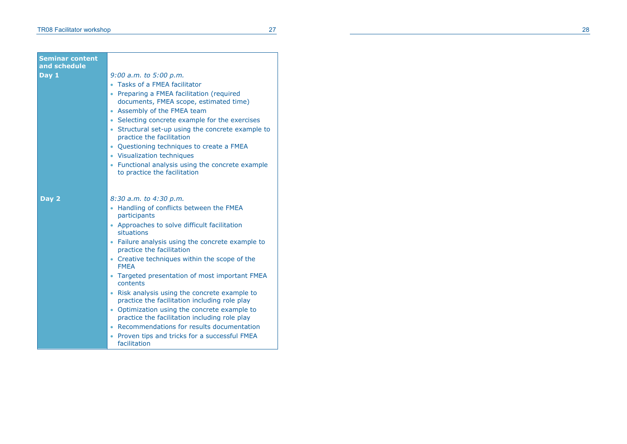÷

| <b>Seminar content</b><br>and schedule |                                                                                                                                                                                                                                                                                                                                                                                                                                                                                                                                                                                                                                                                                     |
|----------------------------------------|-------------------------------------------------------------------------------------------------------------------------------------------------------------------------------------------------------------------------------------------------------------------------------------------------------------------------------------------------------------------------------------------------------------------------------------------------------------------------------------------------------------------------------------------------------------------------------------------------------------------------------------------------------------------------------------|
| Day 1                                  | $9:00$ a.m. to $5:00$ p.m.<br>Tasks of a FMEA facilitator<br>Preparing a FMEA facilitation (required<br>documents, FMEA scope, estimated time)<br>Assembly of the FMEA team<br>$\bullet$<br>Selecting concrete example for the exercises<br>$\bullet$<br>• Structural set-up using the concrete example to<br>practice the facilitation<br>Questioning techniques to create a FMEA<br>$\bullet$<br>• Visualization techniques<br>• Functional analysis using the concrete example<br>to practice the facilitation                                                                                                                                                                   |
| Day 2                                  | 8:30 a.m. to 4:30 p.m.<br>• Handling of conflicts between the FMEA<br>participants<br>• Approaches to solve difficult facilitation<br>situations<br>• Failure analysis using the concrete example to<br>practice the facilitation<br>• Creative techniques within the scope of the<br><b>FMEA</b><br>• Targeted presentation of most important FMEA<br>contents<br>• Risk analysis using the concrete example to<br>practice the facilitation including role play<br>• Optimization using the concrete example to<br>practice the facilitation including role play<br>• Recommendations for results documentation<br>• Proven tips and tricks for a successful FMEA<br>facilitation |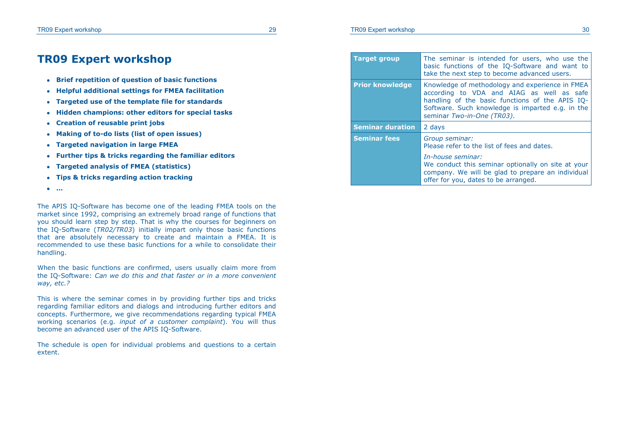### **TR09 Expert workshop**

- **Brief repetition of question of basic functions**
- **Helpful additional settings for FMEA facilitation**
- **Targeted use of the template file for standards**
- **Hidden champions: other editors for special tasks**
- **Creation of reusable print jobs**
- **Making of to-do lists (list of open issues)**
- **Targeted navigation in large FMEA**
- **Further tips & tricks regarding the familiar editors**
- **Targeted analysis of FMEA (statistics)**
- **Tips & tricks regarding action tracking**
- **…**

The APIS IQ-Software has become one of the leading FMEA tools on the market since 1992, comprising an extremely broad range of functions that you should learn step by step. That is why the courses for beginners on the IQ-Software (*TR02/TR03*) initially impart only those basic functions that are absolutely necessary to create and maintain a FMEA. It is recommended to use these basic functions for a while to consolidate their handling.

When the basic functions are confirmed, users usually claim more from the IQ-Software: *Can we do this and that faster or in a more convenient way, etc.?* 

This is where the seminar comes in by providing further tips and tricks regarding familiar editors and dialogs and introducing further editors and concepts. Furthermore, we give recommendations regarding typical FMEA working scenarios (e.g. *input of a customer complaint*). You will thus become an advanced user of the APIS IQ-Software.

The schedule is open for individual problems and questions to a certain extent.

| <b>Target group</b>     | The seminar is intended for users, who use the<br>basic functions of the IQ-Software and want to<br>take the next step to become advanced users.                                                                                  |
|-------------------------|-----------------------------------------------------------------------------------------------------------------------------------------------------------------------------------------------------------------------------------|
| <b>Prior knowledge</b>  | Knowledge of methodology and experience in FMEA<br>according to VDA and AIAG as well as safe<br>handling of the basic functions of the APIS IQ-<br>Software. Such knowledge is imparted e.g. in the<br>seminar Two-in-One (TR03). |
| <b>Seminar duration</b> | 2 days                                                                                                                                                                                                                            |
| <b>Seminar fees</b>     | Group seminar:<br>Please refer to the list of fees and dates.                                                                                                                                                                     |
|                         | In-house seminar:<br>We conduct this seminar optionally on site at your<br>company. We will be glad to prepare an individual                                                                                                      |

offer for you, dates to be arranged.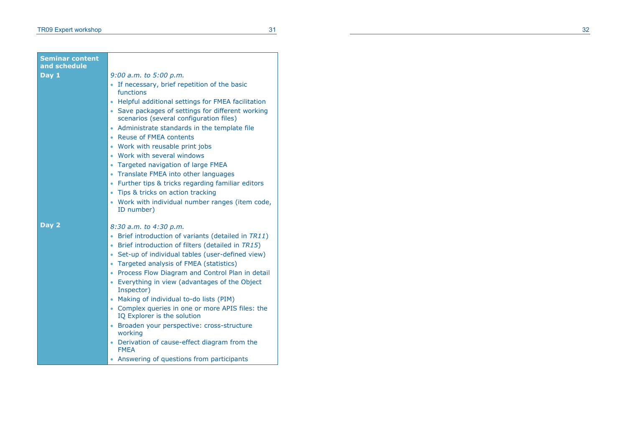| 9:00 a.m. to 5:00 p.m.<br>• If necessary, brief repetition of the basic<br>functions<br>Helpful additional settings for FMEA facilitation<br>٠<br>• Save packages of settings for different working<br>scenarios (several configuration files)<br>• Administrate standards in the template file<br>• Reuse of FMEA contents<br>• Work with reusable print jobs<br>• Work with several windows<br>• Targeted navigation of large FMEA<br>• Translate FMEA into other languages<br>• Further tips & tricks regarding familiar editors<br>Tips & tricks on action tracking<br>۰<br>• Work with individual number ranges (item code,<br>ID number)<br>8:30 a.m. to 4:30 p.m.<br>• Brief introduction of variants (detailed in TR11)<br>• Brief introduction of filters (detailed in TR15)<br>• Set-up of individual tables (user-defined view)<br>• Targeted analysis of FMEA (statistics)<br>• Process Flow Diagram and Control Plan in detail<br>• Everything in view (advantages of the Object<br>Inspector) | <b>Seminar content</b><br>and schedule |                                          |
|-------------------------------------------------------------------------------------------------------------------------------------------------------------------------------------------------------------------------------------------------------------------------------------------------------------------------------------------------------------------------------------------------------------------------------------------------------------------------------------------------------------------------------------------------------------------------------------------------------------------------------------------------------------------------------------------------------------------------------------------------------------------------------------------------------------------------------------------------------------------------------------------------------------------------------------------------------------------------------------------------------------|----------------------------------------|------------------------------------------|
|                                                                                                                                                                                                                                                                                                                                                                                                                                                                                                                                                                                                                                                                                                                                                                                                                                                                                                                                                                                                             | Day 1                                  |                                          |
| • Complex queries in one or more APIS files: the<br>IQ Explorer is the solution<br>· Broaden your perspective: cross-structure<br>working<br>• Derivation of cause-effect diagram from the<br><b>FMFA</b><br>• Answering of questions from participants                                                                                                                                                                                                                                                                                                                                                                                                                                                                                                                                                                                                                                                                                                                                                     | Day 2                                  | • Making of individual to-do lists (PIM) |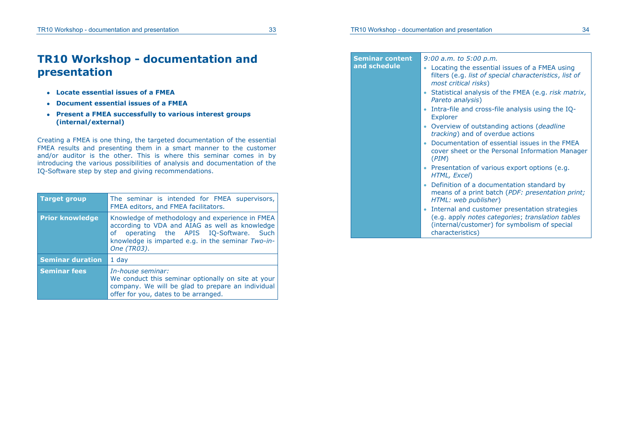### **TR10 Workshop - documentation and presentation**

- **Locate essential issues of a FMEA**
- **Document essential issues of a FMEA**
- **Present a FMEA successfully to various interest groups (internal/external)**

Creating a FMEA is one thing, the targeted documentation of the essential FMEA results and presenting them in a smart manner to the customer and/or auditor is the other. This is where this seminar comes in by introducing the various possibilities of analysis and documentation of the IQ-Software step by step and giving recommendations.

| <b>Target group</b>     | The seminar is intended for FMEA supervisors,<br>FMEA editors, and FMEA facilitators.                                                                                                                            |  |
|-------------------------|------------------------------------------------------------------------------------------------------------------------------------------------------------------------------------------------------------------|--|
| <b>Prior knowledge</b>  | Knowledge of methodology and experience in FMEA<br>according to VDA and AIAG as well as knowledge<br>of operating the APIS IQ-Software. Such<br>knowledge is imparted e.g. in the seminar Two-in-<br>One (TR03). |  |
| <b>Seminar duration</b> | $1$ day                                                                                                                                                                                                          |  |
| <b>Seminar fees</b>     | In-house seminar:<br>We conduct this seminar optionally on site at your<br>company. We will be glad to prepare an individual<br>offer for you, dates to be arranged.                                             |  |

**Seminar content and schedule**  *9:00 a.m. to 5:00 p.m.*  Locating the essential issues of a FMEA using filters (e.g. *list of special characteristics*, *list of most critical risks*) Statistical analysis of the FMEA (e.g. *risk matrix*, *Pareto analysis*) • Intra-file and cross-file analysis using the IQ-Explorer Overview of outstanding actions (*deadline tracking*) and of overdue actions Documentation of essential issues in the FMEA cover sheet or the Personal Information Manager (*PIM*) Presentation of various export options (e.g. *HTML, Excel*) Definition of a documentation standard by means of a print batch (*PDF: presentation print; HTML: web publisher*) • Internal and customer presentation strategies (e.g. apply *notes categories*; *translation tables* (internal/customer) for symbolism of special characteristics)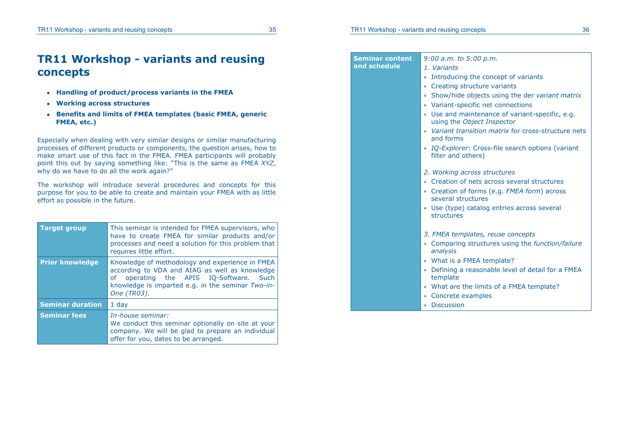### **TR11 Workshop - variants and reusing concepts**

- **Handling of product/process variants in the FMEA**
- **Working across structures**
- **Benefits and limits of FMEA templates (basic FMEA, generic FMEA, etc.)**

Especially when dealing with very similar designs or similar manufacturing processes of different products or components, the question arises, how to make smart use of this fact in the FMEA. FMEA participants will probably point this out by saying something like: "This is the same as FMEA *XYZ*, why do we have to do all the work again?"

The workshop will introduce several procedures and concepts for this purpose for you to be able to create and maintain your FMEA with as little effort as possible in the future.

| <b>Target group</b>     | This seminar is intended for FMEA supervisors, who<br>have to create FMEA for similar products and/or<br>processes and need a solution for this problem that<br>requires little effort.                             |
|-------------------------|---------------------------------------------------------------------------------------------------------------------------------------------------------------------------------------------------------------------|
| <b>Prior knowledge</b>  | Knowledge of methodology and experience in FMEA<br>according to VDA and AIAG as well as knowledge<br>operating the APIS IQ-Software. Such<br>of<br>knowledge is imparted e.g. in the seminar Two-in-<br>One (TR03). |
| <b>Seminar duration</b> | $1$ day                                                                                                                                                                                                             |
| <b>Seminar fees</b>     | In-house seminar:<br>We conduct this seminar optionally on site at your<br>company. We will be glad to prepare an individual<br>offer for you, dates to be arranged.                                                |

| <b>Seminar content</b> | $9:00$ a.m. to $5:00$ p.m.                                                             |
|------------------------|----------------------------------------------------------------------------------------|
| and schedule           | 1. Variants                                                                            |
|                        | Introducing the concept of variants<br>٠                                               |
|                        | Creating structure variants<br>٠                                                       |
|                        | • Show/hide objects using the der variant matrix<br>• Variant-specific net connections |
|                        | • Use and maintenance of variant-specific, e.g.<br>using the Object Inspector          |
|                        | • Variant transition matrix for cross-structure nets<br>and forms                      |
|                        | • IQ-Explorer: Cross-file search options (variant<br>filter and others)                |
|                        | 2. Working across structures                                                           |
|                        | • Creation of nets across several structures                                           |
|                        | • Creation of forms (e.g. FMEA form) across<br>several structures                      |
|                        | • Use (type) catalog entries across several<br>structures                              |
|                        | 3. FMEA templates, reuse concepts                                                      |
|                        | Comparing structures using the function/failure<br>٠<br>analysis                       |
|                        | • What is a FMEA template?                                                             |
|                        | • Defining a reasonable level of detail for a FMEA<br>template                         |
|                        | What are the limits of a FMEA template?<br>٠                                           |
|                        | • Concrete examples                                                                    |
|                        | <b>Discussion</b>                                                                      |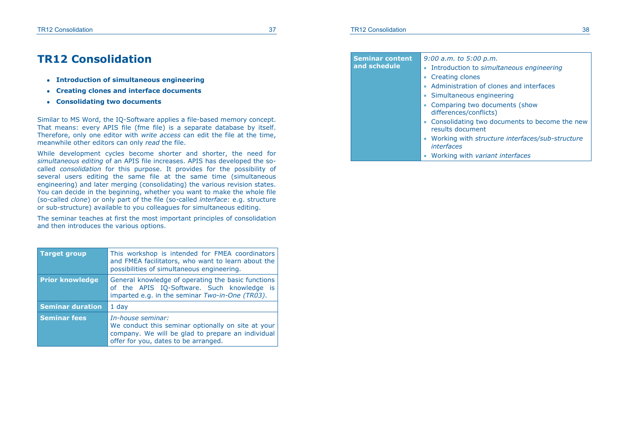#### **TR12 Consolidation** 37

### **TR12 Consolidation**

- **Introduction of simultaneous engineering**
- **Creating clones and interface documents**
- **Consolidating two documents**

Similar to MS Word, the IQ-Software applies a file-based memory concept. That means: every APIS file (fme file) is a separate database by itself. Therefore, only one editor with *write access* can edit the file at the time, meanwhile other editors can only *read* the file.

While development cycles become shorter and shorter, the need for *simultaneous editing* of an APIS file increases. APIS has developed the socalled *consolidation* for this purpose. It provides for the possibility of several users editing the same file at the same time (simultaneous engineering) and later merging (consolidating) the various revision states. You can decide in the beginning, whether you want to make the whole file (so-called *clone*) or only part of the file (so-called *interface*: e.g. structure or sub-structure) available to you colleagues for simultaneous editing.

The seminar teaches at first the most important principles of consolidation and then introduces the various options.

| <b>Target group</b>     | This workshop is intended for FMEA coordinators<br>and FMEA facilitators, who want to learn about the<br>possibilities of simultaneous engineering.                  |  |
|-------------------------|----------------------------------------------------------------------------------------------------------------------------------------------------------------------|--|
| <b>Prior knowledge</b>  | General knowledge of operating the basic functions<br>of the APIS IQ-Software. Such knowledge is<br>imparted e.g. in the seminar Two-in-One (TR03).                  |  |
| <b>Seminar duration</b> | $1$ day                                                                                                                                                              |  |
| <b>Seminar fees</b>     | In-house seminar:<br>We conduct this seminar optionally on site at your<br>company. We will be glad to prepare an individual<br>offer for you, dates to be arranged. |  |

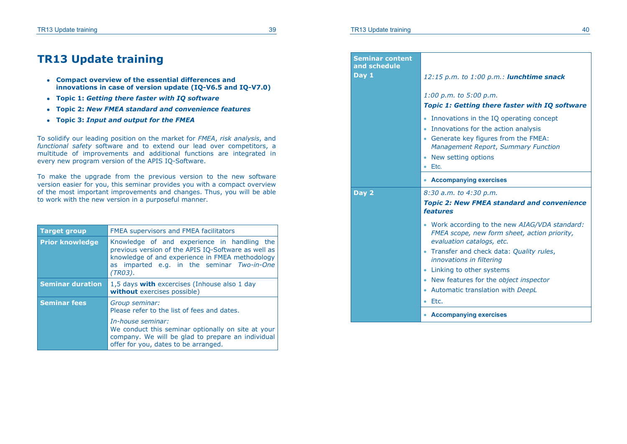#### **TR13 Update training 39** 39

### **TR13 Update training**

- **Compact overview of the essential differences and innovations in case of version update (IQ-V6.5 and IQ-V7.0)**
- **Topic 1:** *Getting there faster with IQ software*
- **Topic 2:** *New FMEA standard and convenience features*
- **Topic 3:** *Input and output for the FMEA*

To solidify our leading position on the market for *FMEA*, *risk analysis*, and *functional safety* software and to extend our lead over competitors, a multitude of improvements and additional functions are integrated in every new program version of the APIS IQ-Software.

To make the upgrade from the previous version to the new software version easier for you, this seminar provides you with a compact overview of the most important improvements and changes. Thus, you will be able to work with the new version in a purposeful manner.

| <b>Target group</b>     | <b>FMEA supervisors and FMEA facilitators</b>                                                                                                                                                                  |  |
|-------------------------|----------------------------------------------------------------------------------------------------------------------------------------------------------------------------------------------------------------|--|
| <b>Prior knowledge</b>  | Knowledge of and experience in handling the<br>previous version of the APIS IQ-Software as well as<br>knowledge of and experience in FMEA methodology<br>as imparted e.g. in the seminar Two-in-One<br>(TR03). |  |
| <b>Seminar duration</b> | 1,5 days with excercises (Inhouse also 1 day<br>without exercises possible)                                                                                                                                    |  |
| <b>Seminar fees</b>     | Group seminar:<br>Please refer to the list of fees and dates.                                                                                                                                                  |  |
|                         | In-house seminar:<br>We conduct this seminar optionally on site at your<br>company. We will be glad to prepare an individual<br>offer for you, dates to be arranged.                                           |  |

| <b>Seminar content</b><br>and schedule<br>Day 1 | 12:15 p.m. to 1:00 p.m.: <b>lunchtime snack</b><br>$1:00$ p.m. to 5:00 p.m.<br><b>Topic 1: Getting there faster with IQ software</b><br>Innovations in the IQ operating concept<br>٠<br>Innovations for the action analysis<br>• Generate key figures from the FMEA:<br>Management Report, Summary Function |  |  |
|-------------------------------------------------|-------------------------------------------------------------------------------------------------------------------------------------------------------------------------------------------------------------------------------------------------------------------------------------------------------------|--|--|
|                                                 | New setting options<br>Etc.                                                                                                                                                                                                                                                                                 |  |  |
|                                                 | <b>Accompanying exercises</b>                                                                                                                                                                                                                                                                               |  |  |
| Day 2                                           | 8:30 a.m. to 4:30 p.m.<br><b>Topic 2: New FMEA standard and convenience</b><br><b>features</b>                                                                                                                                                                                                              |  |  |
|                                                 | Work according to the new AIAG/VDA standard:<br>FMEA scope, new form sheet, action priority,<br>evaluation catalogs, etc.                                                                                                                                                                                   |  |  |
|                                                 | Transfer and check data: Quality rules,<br>innovations in filtering                                                                                                                                                                                                                                         |  |  |
|                                                 | Linking to other systems                                                                                                                                                                                                                                                                                    |  |  |
|                                                 | New features for the object inspector                                                                                                                                                                                                                                                                       |  |  |
|                                                 | Automatic translation with DeepL<br>Etc.                                                                                                                                                                                                                                                                    |  |  |
|                                                 | <b>Accompanying exercises</b>                                                                                                                                                                                                                                                                               |  |  |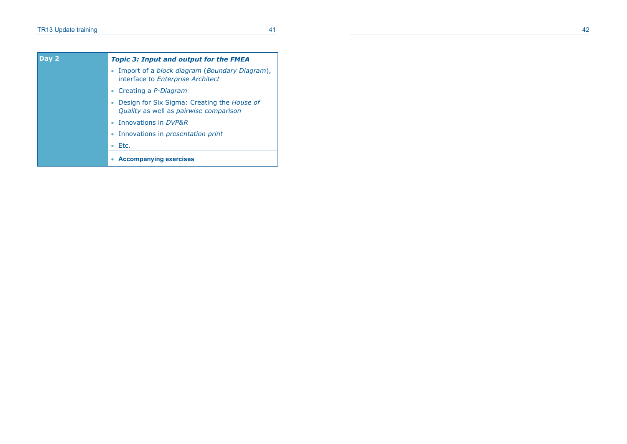| Day 2 | <b>Topic 3: Input and output for the FMEA</b>                                           |  |  |
|-------|-----------------------------------------------------------------------------------------|--|--|
|       | • Import of a block diagram (Boundary Diagram),<br>interface to Enterprise Architect    |  |  |
|       | Creating a <i>P-Diagram</i>                                                             |  |  |
|       | • Design for Six Sigma: Creating the House of<br>Quality as well as pairwise comparison |  |  |
|       | • Innovations in DVP&R                                                                  |  |  |
|       | • Innovations in <i>presentation print</i>                                              |  |  |
|       | Etc.                                                                                    |  |  |
|       | <b>Accompanying exercises</b>                                                           |  |  |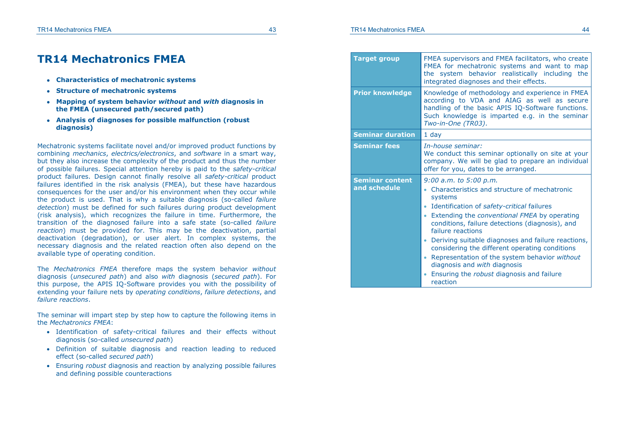**and schedule** 

### **TR14 Mechatronics FMEA**

- **Characteristics of mechatronic systems**
- **Structure of mechatronic systems**
- **Mapping of system behavior** *without* **and** *with* **diagnosis in the FMEA (unsecured path/secured path)**
- **Analysis of diagnoses for possible malfunction (robust diagnosis)**

Mechatronic systems facilitate novel and/or improved product functions by combining *mechanics*, *electrics/electronics*, and *software* in a smart way, but they also increase the complexity of the product and thus the number of possible failures. Special attention hereby is paid to the *safety-critical* product failures. Design cannot finally resolve all *safety-critical* product failures identified in the risk analysis (FMEA), but these have hazardous consequences for the user and/or his environment when they occur while the product is used. That is why a suitable diagnosis (so-called *failure detection*) must be defined for such failures during product development (risk analysis), which recognizes the failure in time. Furthermore, the transition of the diagnosed failure into a safe state (so-called *failure reaction*) must be provided for. This may be the deactivation, partial deactivation (degradation), or user alert. In complex systems, the necessary diagnosis and the related reaction often also depend on the available type of operating condition.

The *Mechatronics FMEA* therefore maps the system behavior *without*  diagnosis (*unsecured path*) and also *with* diagnosis (*secured path*). For this purpose, the APIS IQ-Software provides you with the possibility of extending your failure nets by *operating conditions*, *failure detections*, and *failure reactions*.

The seminar will impart step by step how to capture the following items in the *Mechatronics FMEA*:

- Identification of safety-critical failures and their effects without diagnosis (so-called *unsecured path*)
- Definition of suitable diagnosis and reaction leading to reduced effect (so-called *secured path*)
- Ensuring *robust* diagnosis and reaction by analyzing possible failures and defining possible counteractions

| Target group                           | FMEA Supervisors and FMEA facilitators, who create<br>FMEA for mechatronic systems and want to map<br>the system behavior realistically including the<br>integrated diagnoses and their effects.                                                                                                                                                                                                                                                                                                                     |  |
|----------------------------------------|----------------------------------------------------------------------------------------------------------------------------------------------------------------------------------------------------------------------------------------------------------------------------------------------------------------------------------------------------------------------------------------------------------------------------------------------------------------------------------------------------------------------|--|
| <b>Prior knowledge</b>                 | Knowledge of methodology and experience in FMEA<br>according to VDA and AIAG as well as secure<br>handling of the basic APIS IQ-Software functions.<br>Such knowledge is imparted e.g. in the seminar<br>Two-in-One (TR03).                                                                                                                                                                                                                                                                                          |  |
| <b>Seminar duration</b>                | $1$ day                                                                                                                                                                                                                                                                                                                                                                                                                                                                                                              |  |
| <b>Seminar fees</b>                    | In-house seminar:<br>We conduct this seminar optionally on site at your<br>company. We will be glad to prepare an individual<br>offer for you, dates to be arranged.                                                                                                                                                                                                                                                                                                                                                 |  |
| <b>Seminar content</b><br>and schedule | $9:00$ a.m. to $5:00$ p.m.<br>Characteristics and structure of mechatronic<br>systems<br>Identification of safety-critical failures<br>۰<br>Extending the <i>conventional FMEA</i> by operating<br>$\bullet$<br>conditions, failure detections (diagnosis), and<br>failure reactions<br>Deriving suitable diagnoses and failure reactions,<br>۰<br>considering the different operating conditions<br>the contract of the contract of the contract of the contract of the contract of the contract of the contract of |  |

 Representation of the system behavior *without*  diagnosis and *with* diagnosis

**Target group and FMEA supervisors** and FMEA facilitations and FMEA facilitations and FMEA facilitations, who created a contract of the created and FMEA facilitations are all the contract of the created and contract of the

 Ensuring the *robust* diagnosis and failure reaction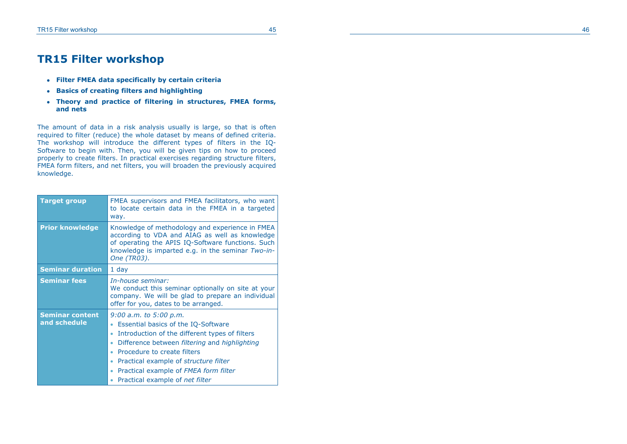### **TR15 Filter workshop**

- **Filter FMEA data specifically by certain criteria**
- **Basics of creating filters and highlighting**
- **Theory and practice of filtering in structures, FMEA forms, and nets**

The amount of data in a risk analysis usually is large, so that is often required to filter (reduce) the whole dataset by means of defined criteria. The workshop will introduce the different types of filters in the IQ-Software to begin with. Then, you will be given tips on how to proceed properly to create filters. In practical exercises regarding structure filters, FMEA form filters, and net filters, you will broaden the previously acquired knowledge.

| <b>Target group</b>                    | FMEA supervisors and FMEA facilitators, who want<br>to locate certain data in the FMEA in a targeted<br>way.                                                                                                                                                                                                                                                              |  |
|----------------------------------------|---------------------------------------------------------------------------------------------------------------------------------------------------------------------------------------------------------------------------------------------------------------------------------------------------------------------------------------------------------------------------|--|
| <b>Prior knowledge</b>                 | Knowledge of methodology and experience in FMEA<br>according to VDA and AIAG as well as knowledge<br>of operating the APIS IQ-Software functions. Such<br>knowledge is imparted e.g. in the seminar Two-in-<br>One (TR03).                                                                                                                                                |  |
| <b>Seminar duration</b>                | 1 day                                                                                                                                                                                                                                                                                                                                                                     |  |
| <b>Seminar fees</b>                    | In-house seminar:<br>We conduct this seminar optionally on site at your<br>company. We will be glad to prepare an individual<br>offer for you, dates to be arranged.                                                                                                                                                                                                      |  |
| <b>Seminar content</b><br>and schedule | $9:00$ a.m. to $5:00$ p.m.<br>Essential basics of the IQ-Software<br>Introduction of the different types of filters<br>ö<br>Difference between <i>filtering</i> and <i>highlighting</i><br>$\bullet$<br>Procedure to create filters<br>٠<br>Practical example of <i>structure filter</i><br>۰<br>Practical example of FMEA form filter<br>Practical example of net filter |  |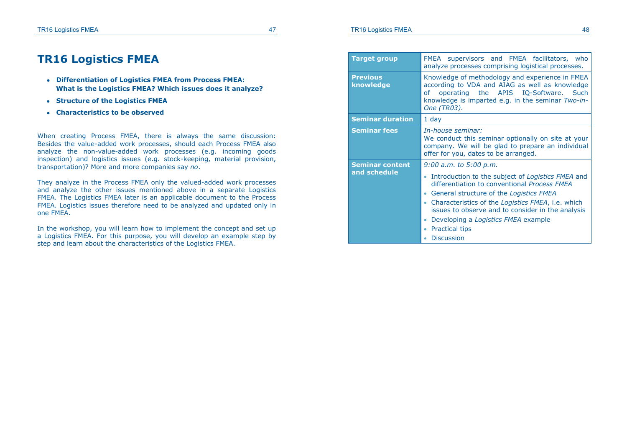### **TR16 Logistics FMEA**

- **Differentiation of Logistics FMEA from Process FMEA: What is the Logistics FMEA? Which issues does it analyze?**
- **Structure of the Logistics FMEA**
- **Characteristics to be observed**

When creating Process FMEA, there is always the same discussion: Besides the value-added work processes, should each Process FMEA also analyze the non-value-added work processes (e.g. incoming goods inspection) and logistics issues (e.g. stock-keeping, material provision, transportation)? More and more companies say *no*.

They analyze in the Process FMEA only the valued-added work processes and analyze the other issues mentioned above in a separate Logistics FMEA. The Logistics FMEA later is an applicable document to the Process FMEA. Logistics issues therefore need to be analyzed and updated only in one FMEA.

In the workshop, you will learn how to implement the concept and set up a Logistics FMEA. For this purpose, you will develop an example step by step and learn about the characteristics of the Logistics FMEA.

| <b>Target group</b>                    | supervisors and FMEA facilitators, who<br>FMEA<br>analyze processes comprising logistical processes.                                                                                                                                                                                                                                                                      |  |
|----------------------------------------|---------------------------------------------------------------------------------------------------------------------------------------------------------------------------------------------------------------------------------------------------------------------------------------------------------------------------------------------------------------------------|--|
| <b>Previous</b><br>knowledge           | Knowledge of methodology and experience in FMEA<br>according to VDA and AIAG as well as knowledge<br>operating the APIS IQ-Software. Such<br>οf<br>knowledge is imparted e.g. in the seminar Two-in-<br>One (TR03).                                                                                                                                                       |  |
| <b>Seminar duration</b>                | 1 day                                                                                                                                                                                                                                                                                                                                                                     |  |
| <b>Seminar fees</b>                    | In-house seminar:<br>We conduct this seminar optionally on site at your<br>company. We will be glad to prepare an individual<br>offer for you, dates to be arranged.                                                                                                                                                                                                      |  |
| <b>Seminar content</b><br>and schedule | $9:00$ a.m. to $5:00$ p.m.<br>Introduction to the subject of Logistics FMEA and<br>differentiation to conventional Process FMEA<br>General structure of the Logistics FMEA<br>Characteristics of the Logistics FMEA, i.e. which<br>issues to observe and to consider in the analysis<br>Developing a Logistics FMEA example<br><b>Practical tips</b><br><b>Discussion</b> |  |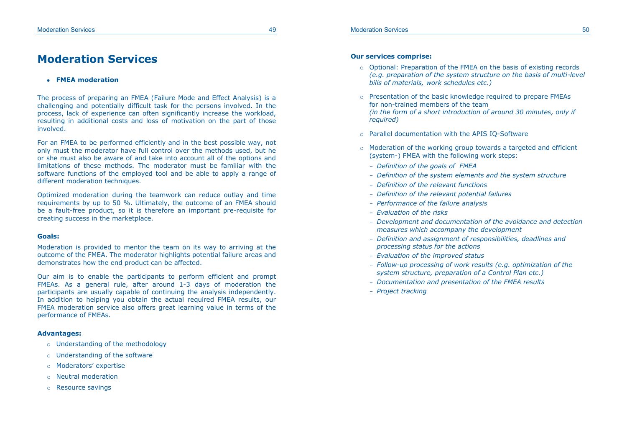### **Moderation Services**

#### **FMEA moderation**

The process of preparing an FMEA (Failure Mode and Effect Analysis) is a challenging and potentially difficult task for the persons involved. In the process, lack of experience can often significantly increase the workload, resulting in additional costs and loss of motivation on the part of those involved.

For an FMEA to be performed efficiently and in the best possible way, not only must the moderator have full control over the methods used, but he or she must also be aware of and take into account all of the options and limitations of these methods. The moderator must be familiar with the software functions of the employed tool and be able to apply a range of different moderation techniques.

Optimized moderation during the teamwork can reduce outlay and time requirements by up to 50 %. Ultimately, the outcome of an FMEA should be a fault-free product, so it is therefore an important pre-requisite for creating success in the marketplace.

#### **Goals:**

Moderation is provided to mentor the team on its way to arriving at the outcome of the FMEA. The moderator highlights potential failure areas and demonstrates how the end product can be affected.

Our aim is to enable the participants to perform efficient and prompt FMEAs. As a general rule, after around 1-3 days of moderation the participants are usually capable of continuing the analysis independently. In addition to helping you obtain the actual required FMEA results, our FMEA moderation service also offers great learning value in terms of the performance of FMEAs.

#### **Advantages:**

- o Understanding of the methodology
- o Understanding of the software
- o Moderators' expertise
- o Neutral moderation
- o Resource savings

#### **Our services comprise:**

- o Optional: Preparation of the FMEA on the basis of existing records *(e.g. preparation of the system structure on the basis of multi-level bills of materials, work schedules etc.)*
- o Presentation of the basic knowledge required to prepare FMEAs for non-trained members of the team *(in the form of a short introduction of around 30 minutes, only if required)*
- o Parallel documentation with the APIS IQ-Software
- o Moderation of the working group towards a targeted and efficient (system-) FMEA with the following work steps:
	- *Definition of the goals of FMEA*
	- *Definition of the system elements and the system structure*
	- *Definition of the relevant functions*
	- *Definition of the relevant potential failures*
	- *Performance of the failure analysis*
	- *Evaluation of the risks*
	- *Development and documentation of the avoidance and detection measures which accompany the development*
	- *Definition and assignment of responsibilities, deadlines and processing status for the actions*
	- *Evaluation of the improved status*
	- *Follow-up processing of work results (e.g. optimization of the system structure, preparation of a Control Plan etc.)*
	- *Documentation and presentation of the FMEA results*
	- *Project tracking*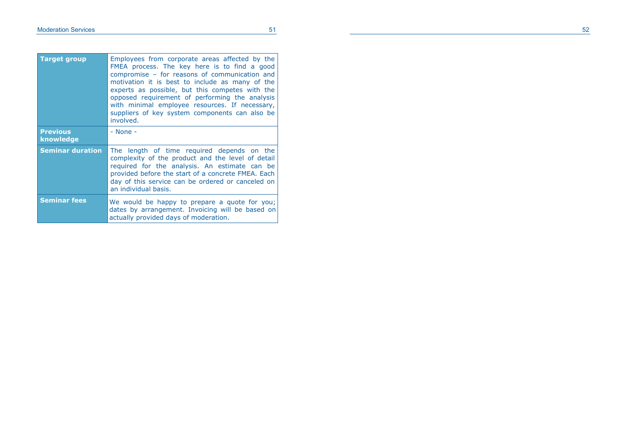| <b>Target group</b>          | Employees from corporate areas affected by the<br>FMEA process. The key here is to find a good<br>compromise - for reasons of communication and<br>motivation it is best to include as many of the<br>experts as possible, but this competes with the<br>opposed requirement of performing the analysis<br>with minimal employee resources. If necessary,<br>suppliers of key system components can also be<br>involved. |  |
|------------------------------|--------------------------------------------------------------------------------------------------------------------------------------------------------------------------------------------------------------------------------------------------------------------------------------------------------------------------------------------------------------------------------------------------------------------------|--|
| <b>Previous</b><br>knowledge | $-$ None $-$                                                                                                                                                                                                                                                                                                                                                                                                             |  |
| <b>Seminar duration</b>      | The length of time required depends on the<br>complexity of the product and the level of detail<br>required for the analysis. An estimate can be<br>provided before the start of a concrete FMEA. Each<br>day of this service can be ordered or canceled on<br>an individual basis.                                                                                                                                      |  |
| <b>Seminar fees</b>          | We would be happy to prepare a quote for you;<br>dates by arrangement. Invoicing will be based on<br>actually provided days of moderation.                                                                                                                                                                                                                                                                               |  |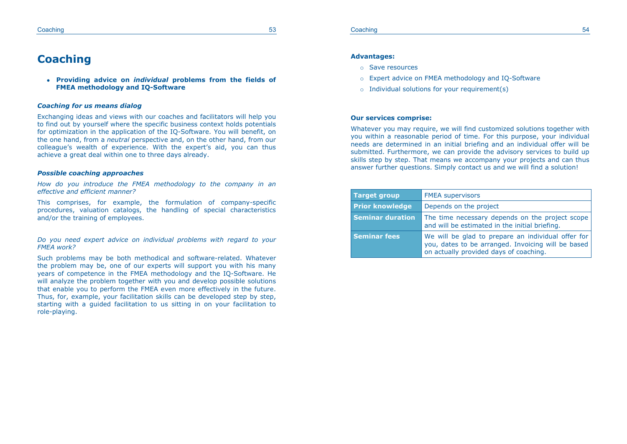#### Coaching 53 **Coaching 53**

### **Coaching**

 **Providing advice on** *individual* **problems from the fields of FMEA methodology and IQ-Software**

#### *Coaching for us means dialog*

Exchanging ideas and views with our coaches and facilitators will help you to find out by yourself where the specific business context holds potentials for optimization in the application of the IQ-Software. You will benefit, on the one hand, from a *neutral* perspective and, on the other hand, from our colleague's wealth of experience. With the expert's aid, you can thus achieve a great deal within one to three days already.

#### *Possible coaching approaches*

*How do you introduce the FMEA methodology to the company in an effective and efficient manner?*

This comprises, for example, the formulation of company-specific procedures, valuation catalogs, the handling of special characteristics and/or the training of employees.

*Do you need expert advice on individual problems with regard to your FMEA work?*

Such problems may be both methodical and software-related. Whatever the problem may be, one of our experts will support you with his many years of competence in the FMEA methodology and the IQ-Software. He will analyze the problem together with you and develop possible solutions that enable you to perform the FMEA even more effectively in the future. Thus, for, example, your facilitation skills can be developed step by step. starting with a guided facilitation to us sitting in on your facilitation to role-playing.

#### **Advantages:**

- o Save resources
- o Expert advice on FMEA methodology and IQ-Software
- $\circ$  Individual solutions for your requirement(s)

#### **Our services comprise:**

Whatever you may require, we will find customized solutions together with you within a reasonable period of time. For this purpose, your individual needs are determined in an initial briefing and an individual offer will be submitted. Furthermore, we can provide the advisory services to build up skills step by step. That means we accompany your projects and can thus answer further questions. Simply contact us and we will find a solution!

| <b>Target group</b>     | <b>FMEA supervisors</b>                                                                                                                            |  |
|-------------------------|----------------------------------------------------------------------------------------------------------------------------------------------------|--|
| <b>Prior knowledge</b>  | Depends on the project                                                                                                                             |  |
| <b>Seminar duration</b> | The time necessary depends on the project scope<br>and will be estimated in the initial briefing.                                                  |  |
| <b>Seminar fees</b>     | We will be glad to prepare an individual offer for<br>you, dates to be arranged. Invoicing will be based<br>on actually provided days of coaching. |  |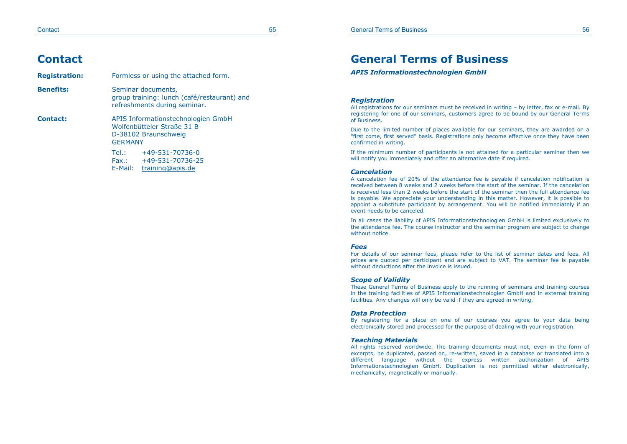#### Contact 55

### **Contact**

| <b>Registration:</b> | Formless or using the attached form.                                                                       |  |  |
|----------------------|------------------------------------------------------------------------------------------------------------|--|--|
| <b>Benefits:</b>     | Seminar documents,<br>group training: lunch (café/restaurant) and<br>refreshments during seminar.          |  |  |
| Contact:             | APIS Informationstechnologien GmbH<br>Wolfenbütteler Straße 31 B<br>D-38102 Braunschweig<br><b>GERMANY</b> |  |  |
|                      | Tel.:<br>+49-531-70736-0<br>+49-531-70736-25<br>Fax.:<br>E-Mail: training@apis.de                          |  |  |

### **General Terms of Business**

*APIS Informationstechnologien GmbH* 

#### *Registration*

All registrations for our seminars must be received in writing – by letter, fax or e-mail. By registering for one of our seminars, customers agree to be bound by our General Terms of Business.

Due to the limited number of places available for our seminars, they are awarded on a "first come, first served" basis. Registrations only become effective once they have been confirmed in writing.

If the minimum number of participants is not attained for a particular seminar then we will notify you immediately and offer an alternative date if required.

#### *Cancelation*

A cancelation fee of 20% of the attendance fee is payable if cancelation notification is received between 8 weeks and 2 weeks before the start of the seminar. If the cancelation is received less than 2 weeks before the start of the seminar then the full attendance fee is payable. We appreciate your understanding in this matter. However, it is possible to appoint a substitute participant by arrangement. You will be notified immediately if an event needs to be canceled.

In all cases the liability of APIS Informationstechnologien GmbH is limited exclusively to the attendance fee. The course instructor and the seminar program are subject to change without notice.

#### *Fees*

For details of our seminar fees, please refer to the list of seminar dates and fees. All prices are quoted per participant and are subject to VAT. The seminar fee is payable without deductions after the invoice is issued.

#### *Scope of Validity*

These General Terms of Business apply to the running of seminars and training courses in the training facilities of APIS Informationstechnologien GmbH and in external training facilities. Any changes will only be valid if they are agreed in writing.

#### *Data Protection*

By registering for a place on one of our courses you agree to your data being electronically stored and processed for the purpose of dealing with your registration.

#### *Teaching Materials*

All rights reserved worldwide. The training documents must not, even in the form of excerpts, be duplicated, passed on, re-written, saved in a database or translated into a different language without the express written authorization of APIS Informationstechnologien GmbH. Duplication is not permitted either electronically, mechanically, magnetically or manually.